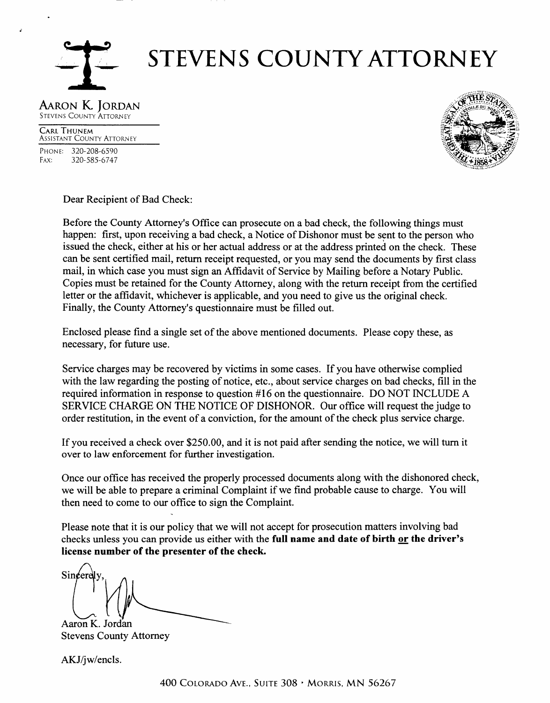

# **STEVENS COUNTY ATTORNEY**

#### AARON K JORDAN **STEVENS COUNTY ATTORNEY**

**CARL THUNEM ASSISTANT COUNTY ATTORNEY** PHONE: 320-208-6590 FAX: 320-585-6747



Dear Recipient of Bad Check:

Before the County Attorney's Office can prosecute on a bad check, the following things must happen: first, upon receiving a bad check, a Notice of Dishonor must be sent to the person who issued the check, either at his or her actual address or at the address printed on the check. These can be sent certified mail, return receipt requested, or you may send the documents by first class mail, in which case you must sign an Affidavit of Service by Mailing before a Notary Public. Copies must be retained for the County Attorney, along with the return receipt from the certified letter or the affidavit, whichever is applicable, and you need to give us the original check. Finally, the County Attorney's questionnaire must be filled out.

Enclosed please find a single set of the above mentioned documents. Please copy these, as necessary, for future use.

Service charges may be recovered by victims in some cases. If you have otherwise complied with the law regarding the posting of notice, etc., about service charges on bad checks, fill in the required information in response to question #16 on the questionnaire. DO NOT INCLUDE A SERVICE CHARGE ON THE NOTICE OF DISHONOR. Our office will request the judge to order restitution, in the event of a conviction, for the amount of the check plus service charge.

If you received a check over \$250.00, and it is not paid after sending the notice, we will turn it over to law enforcement for further investigation.

Once our office has received the properly processed documents along with the dishonored check, we will be able to prepare a criminal Complaint if we find probable cause to charge. You will then need to come to our office to sign the Complaint.

Please note that it is our policy that we will not accept for prosecution matters involving bad checks unless you can provide us either with the full name and date of birth or the driver's license number of the presenter of the check.

Sincere Aaron K. Jordan

**Stevens County Attorney** 

AKJ/jw/encls.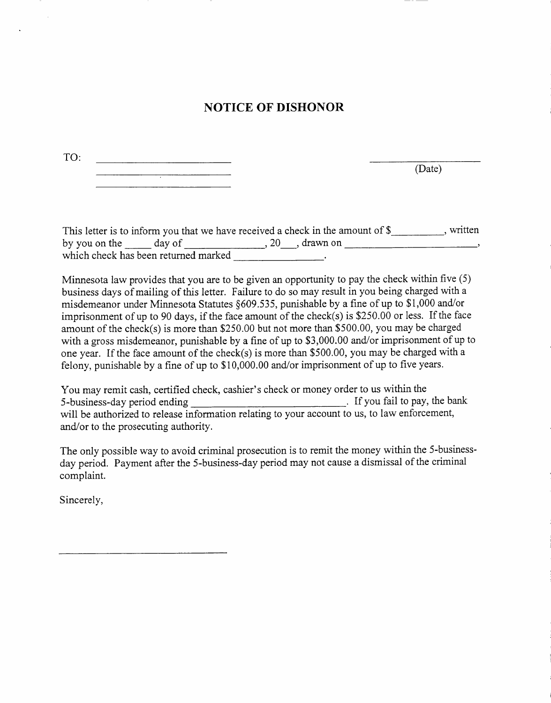## **NOTICE OF DISHONOR**

| TO: |   |
|-----|---|
|     |   |
|     | ٠ |

(Date)

|                      |                                      | This letter is to inform you that we have received a check in the amount of \$ |            | written |
|----------------------|--------------------------------------|--------------------------------------------------------------------------------|------------|---------|
| by you on the day of |                                      |                                                                                | . drawn on |         |
|                      | which check has been returned marked |                                                                                |            |         |

Minnesota law provides that you are to be given an opporfunity to pay the check within five (5) business days of mailing of this letter. Failure to do so may result in you being charged with a misdemeanor under Minnesota Statutes §609.535, punishable by a fine of up to \$1,000 and/or imprisonment of up to 90 days, if the face amount of the check(s) is \$250.00 or less. If the face amount of the check(s) is more than \$250.00 but not more than \$500.00, you may be charged with a gross misdemeanor, punishable by a fine of up to \$3,000.00 and/or imprisonment of up to one year. If the face amount of the check(s) is more than \$500.00, you may be charged with <sup>a</sup> felony, punishable by a fine of up to \$10,000.00 and/or imprisonment of up to five years.

You may remit cash, certified check, cashier's check or money order to us within the 5-business-day period ending [1]. If you fail to pay,  $\begin{array}{c} \hline \end{array}$  If you fail to pay, the bank will be authorized to release information relating to your account to us, to law enforcement, and/or to the prosecuting authority.

The only possible way to avoid criminal prosecution is to remit the money within the 5-businessday period. Payment after the 5-business-day period may not cause a dismissal of the criminal complaint.

Sincerely,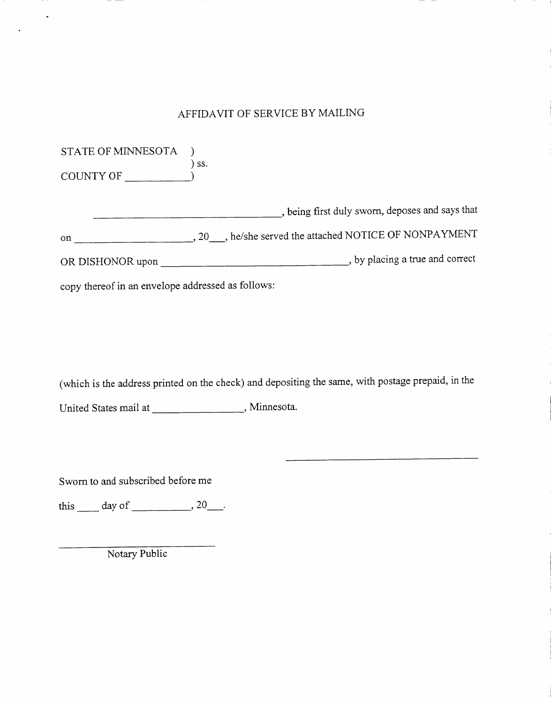## AFFIDAVIT OF SERVICE BY MAILING

| STATE OF MINNESOTA |                                                                                                                                                         |
|--------------------|---------------------------------------------------------------------------------------------------------------------------------------------------------|
| COUNTY OF          | SS.                                                                                                                                                     |
|                    | , being first duly sworn, deposes and says that                                                                                                         |
| on                 | , 20 , he/she served the attached NOTICE OF NONPAYMENT                                                                                                  |
| OR DISHONOR upon   | , by placing a true and correct<br><u> 1980 - Jan Stein Stein Stein Stein Stein Stein Stein Stein Stein Stein Stein Stein Stein Stein Stein Stein S</u> |
|                    |                                                                                                                                                         |

copy thereof in an envelope addressed as follows:

 $\ddot{\phantom{1}}$ 

(which is the address printed on the check) and depositing the same, with postage prepaid, in the

United States mail at \_\_\_\_\_\_\_\_\_\_\_\_\_\_\_\_\_\_\_\_\_\_\_, Minnesota.

Swom to and subscribed before me

this  $\_\_$  day of  $\_\_$ , 20 $\_\_$ .

Notary Public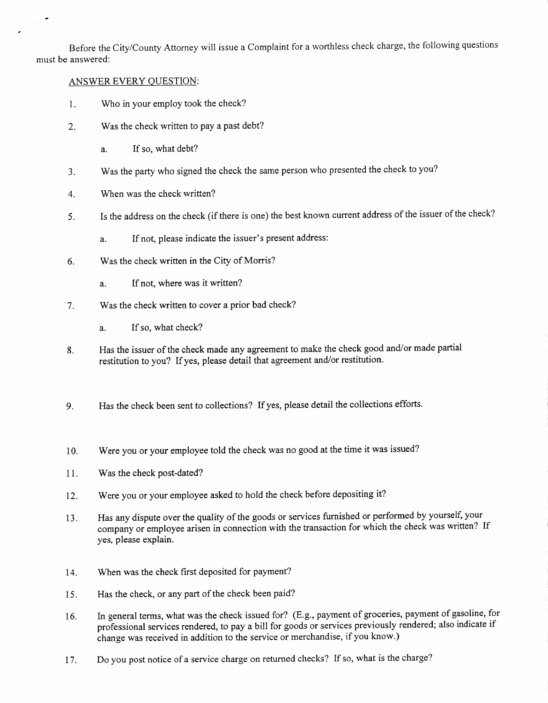Before the City/County Attorney will issue a Complaint for a worthless check charge, the following questions must be answered:

#### ANSWER EVERY OUESTION:

 $\mathcal{L}^{\mathcal{L}}$ 

- Who in your employ took the check? 1
- Was the check written to pay a past debt?  $2<sup>1</sup>$ 
	- a. If so, what debt?
- Was the party who signed the check the same person who presented the check to you? - )
- When was the check written? 4
- Is the address on the check (if there is one) the best known current address of the issuer of the check? 5
	- a. If not, please indicate the issuer's present address:
- Was the check written in the City of Morris? 6
	- a. If not, where was it written?
- Was the check written to cover a prior bad check? 7
	- a. If so, what check?
- Has the issuer of the check made any agreement to make the check good and/or made partial restitution to you? If yes, please detail that agreement and/or restitution. 8
- g. Has the check been sent to collections? If yes, please detail the collections efforts.
- 10. Were you or your employee told the check was no good at the time it was issued?
- 11 Was the check post-dated?
- 12. Were you or your employee asked to hold the check before depositing it?
- 13. Has any dispute over the quality of the goods or services furnished or performed by yourself, your company or employee arisen in connection with the transaction for which the check was written? If yes, please explain.
- 14. When was the check flrst deposited for payment?
- 15. Has the check, or any part of the check been paid?
- 16. In general terms, what was the check issued for? (E.g., payment of groceries, payment of gasoline, for professional services rendered, to pay a bill for goods or services previously rendered; also indicate if change was received in addition to the service or merchandise, if you know.)
- 17. Do you post notice of a service charge on returned checks? If so, what is the charge?